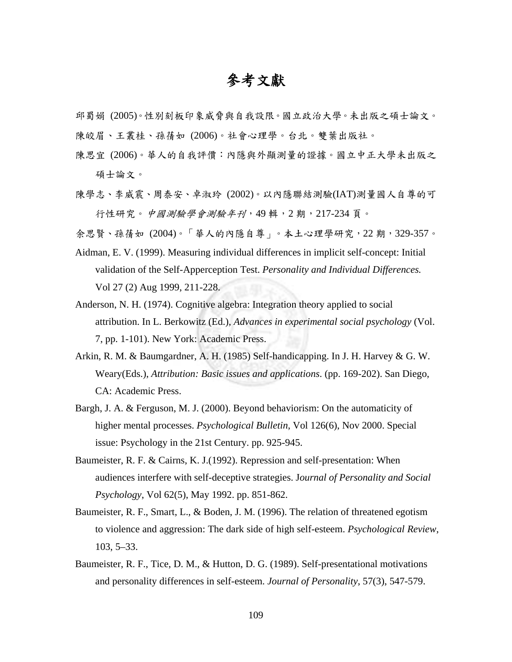## 參考文獻

邱蜀娟 (2005)。性別刻板印象威脅與自我設限。國立政治大學。未出版之碩士論文。 陳皎眉、王叢桂、孫蒨如 (2006)。社會心理學。台北。雙葉出版社。

- 陳思宜 (2006)。華人的自我評價:內隱與外顯測量的證據。國立中正大學未出版之 碩士論文。
- 陳學志、李威震、周泰安、卓淑玲 (2002)。以內隱聯結測驗(IAT)測量國人自尊的可 行性研究。中國測驗學會測驗年刊,49 輯,2 期,217-234 頁。

余思賢、孫蒨如 (2004)。「華人的內隱自尊」。本土心理學研究,22 期,329-357。

- Aidman, E. V. (1999). Measuring individual differences in implicit self-concept: Initial validation of the Self-Apperception Test. *Personality and Individual Differences.* Vol 27 (2) Aug 1999, 211-228.
- Anderson, N. H. (1974). Cognitive algebra: Integration theory applied to social attribution. In L. Berkowitz (Ed.), *Advances in experimental social psychology* (Vol. 7, pp. 1-101). New York: Academic Press.
- Arkin, R. M. & Baumgardner, A. H. (1985) Self-handicapping. In J. H. Harvey & G. W. Weary(Eds.), *Attribution: Basic issues and applications*. (pp. 169-202). San Diego, CA: Academic Press.
- Bargh, J. A. & Ferguson, M. J. (2000). Beyond behaviorism: On the automaticity of higher mental processes. *Psychological Bulletin*, Vol 126(6), Nov 2000. Special issue: Psychology in the 21st Century. pp. 925-945.
- Baumeister, R. F. & Cairns, K. J.(1992). Repression and self-presentation: When audiences interfere with self-deceptive strategies. J*ournal of Personality and Social Psychology*, Vol 62(5), May 1992. pp. 851-862.
- Baumeister, R. F., Smart, L., & Boden, J. M. (1996). The relation of threatened egotism to violence and aggression: The dark side of high self-esteem. *Psychological Review*, 103, 5–33.
- Baumeister, R. F., Tice, D. M., & Hutton, D. G. (1989). Self-presentational motivations and personality differences in self-esteem. *Journal of Personality*, 57(3), 547-579.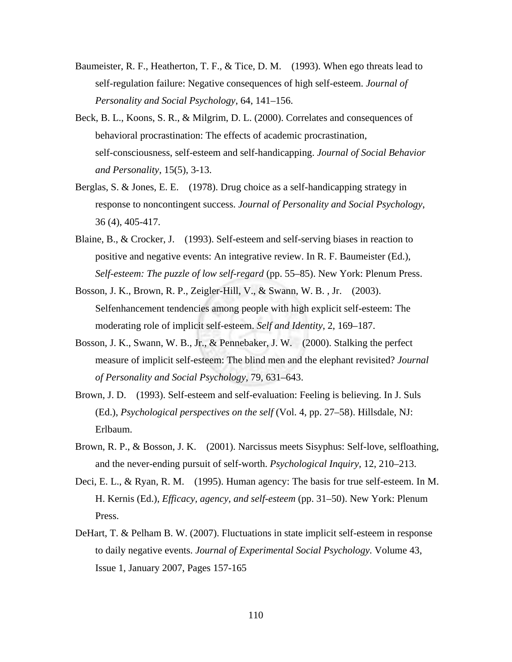- Baumeister, R. F., Heatherton, T. F., & Tice, D. M. (1993). When ego threats lead to self-regulation failure: Negative consequences of high self-esteem. *Journal of Personality and Social Psychology*, 64, 141–156.
- Beck, B. L., Koons, S. R., & Milgrim, D. L. (2000). Correlates and consequences of behavioral procrastination: The effects of academic procrastination, self-consciousness, self-esteem and self-handicapping. *Journal of Social Behavior and Personality*, 15(5), 3-13.
- Berglas, S. & Jones, E. E. (1978). Drug choice as a self-handicapping strategy in response to noncontingent success. *Journal of Personality and Social Psychology*, 36 (4), 405-417.
- Blaine, B., & Crocker, J. (1993). Self-esteem and self-serving biases in reaction to positive and negative events: An integrative review. In R. F. Baumeister (Ed.), *Self-esteem: The puzzle of low self-regard* (pp. 55–85). New York: Plenum Press.
- Bosson, J. K., Brown, R. P., Zeigler-Hill, V., & Swann, W. B. , Jr. (2003). Selfenhancement tendencies among people with high explicit self-esteem: The moderating role of implicit self-esteem. *Self and Identity*, 2, 169–187.
- Bosson, J. K., Swann, W. B., Jr., & Pennebaker, J. W. (2000). Stalking the perfect measure of implicit self-esteem: The blind men and the elephant revisited? *Journal of Personality and Social Psychology*, 79, 631–643.
- Brown, J. D. (1993). Self-esteem and self-evaluation: Feeling is believing. In J. Suls (Ed.), *Psychological perspectives on the self* (Vol. 4, pp. 27–58). Hillsdale, NJ: Erlbaum.
- Brown, R. P., & Bosson, J. K. (2001). Narcissus meets Sisyphus: Self-love, selfloathing, and the never-ending pursuit of self-worth. *Psychological Inquiry,* 12, 210–213.
- Deci, E. L., & Ryan, R. M. (1995). Human agency: The basis for true self-esteem. In M. H. Kernis (Ed.), *Efficacy, agency, and self-esteem* (pp. 31–50). New York: Plenum Press.
- DeHart, T. & Pelham B. W. (2007). Fluctuations in state implicit self-esteem in response to daily negative events. *Journal of Experimental Social Psychology.* Volume 43, Issue 1, January 2007, Pages 157-165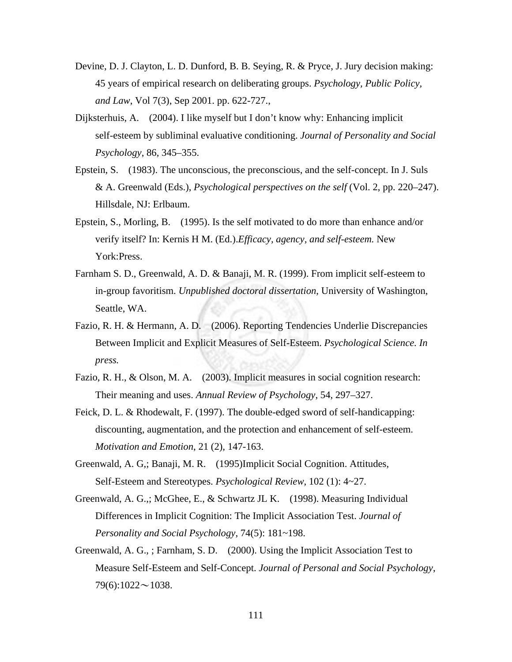- Devine, D. J. Clayton, L. D. Dunford, B. B. Seying, R. & Pryce, J. Jury decision making: 45 years of empirical research on deliberating groups. *Psychology, Public Policy, and Law*, Vol 7(3), Sep 2001. pp. 622-727.,
- Dijksterhuis, A. (2004). I like myself but I don't know why: Enhancing implicit self-esteem by subliminal evaluative conditioning. *Journal of Personality and Social Psychology*, 86, 345–355.
- Epstein, S. (1983). The unconscious, the preconscious, and the self-concept. In J. Suls & A. Greenwald (Eds.), *Psychological perspectives on the self* (Vol. 2, pp. 220–247). Hillsdale, NJ: Erlbaum.
- Epstein, S., Morling, B. (1995). Is the self motivated to do more than enhance and/or verify itself? In: Kernis H M. (Ed.).*Efficacy, agency, and self-esteem.* New York:Press.
- Farnham S. D., Greenwald, A. D. & Banaji, M. R. (1999). From implicit self-esteem to in-group favoritism. *Unpublished doctoral dissertation*, University of Washington, Seattle, WA.
- Fazio, R. H. & Hermann, A. D. (2006). Reporting Tendencies Underlie Discrepancies Between Implicit and Explicit Measures of Self-Esteem. *Psychological Science. In press.*
- Fazio, R. H., & Olson, M. A. (2003). Implicit measures in social cognition research: Their meaning and uses. *Annual Review of Psychology*, 54, 297–327.
- Feick, D. L. & Rhodewalt, F. (1997). The double-edged sword of self-handicapping: discounting, augmentation, and the protection and enhancement of self-esteem. *Motivation and Emotion*, 21 (2), 147-163.
- Greenwald, A. G,; Banaji, M. R. (1995)Implicit Social Cognition. Attitudes, Self-Esteem and Stereotypes. *Psychological Review*, 102 (1): 4~27.
- Greenwald, A. G.,; McGhee, E., & Schwartz JL K. (1998). Measuring Individual Differences in Implicit Cognition: The Implicit Association Test. *Journal of Personality and Social Psychology*, 74(5): 181~198.
- Greenwald, A. G., ; Farnham, S. D. (2000). Using the Implicit Association Test to Measure Self-Esteem and Self-Concept. *Journal of Personal and Social Psychology*,  $79(6):1022 \sim 1038$ .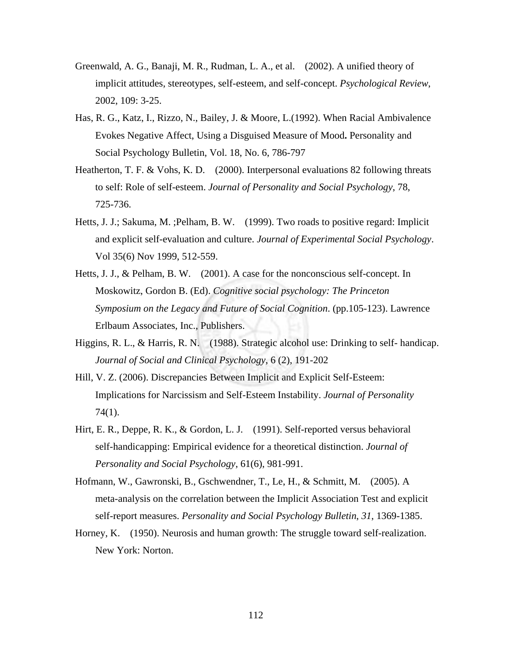- Greenwald, A. G., Banaji, M. R., Rudman, L. A., et al. (2002). A unified theory of implicit attitudes, stereotypes, self-esteem, and self-concept. *Psychological Review*, 2002, 109: 3-25.
- Has, R. G., Katz, I., Rizzo, N., Bailey, J. & Moore, L.(1992). When Racial Ambivalence Evokes Negative Affect, Using a Disguised Measure of Mood**.** Personality and Social Psychology Bulletin, Vol. 18, No. 6, 786-797
- Heatherton, T. F. & Vohs, K. D. (2000). Interpersonal evaluations 82 following threats to self: Role of self-esteem. *Journal of Personality and Social Psychology*, 78, 725-736.
- Hetts, J. J.; Sakuma, M. ;Pelham, B. W. (1999). Two roads to positive regard: Implicit and explicit self-evaluation and culture. *Journal of Experimental Social Psychology*. Vol 35(6) Nov 1999, 512-559.
- Hetts, J. J., & Pelham, B. W. (2001). A case for the nonconscious self-concept. In Moskowitz, Gordon B. (Ed). *Cognitive social psychology: The Princeton Symposium on the Legacy and Future of Social Cognition*. (pp.105-123). Lawrence Erlbaum Associates, Inc., Publishers.
- Higgins, R. L., & Harris, R. N. (1988). Strategic alcohol use: Drinking to self- handicap. *Journal of Social and Clinical Psychology*, 6 (2), 191-202
- Hill, V. Z. (2006). Discrepancies Between Implicit and Explicit Self-Esteem: Implications for Narcissism and Self-Esteem Instability. *Journal of Personality* 74(1).
- Hirt, E. R., Deppe, R. K., & Gordon, L. J. (1991). Self-reported versus behavioral self-handicapping: Empirical evidence for a theoretical distinction. *Journal of Personality and Social Psychology*, 61(6), 981-991.
- Hofmann, W., Gawronski, B., Gschwendner, T., Le, H., & Schmitt, M. (2005). A meta-analysis on the correlation between the Implicit Association Test and explicit self-report measures. *Personality and Social Psychology Bulletin*, *31*, 1369-1385.
- Horney, K. (1950). Neurosis and human growth: The struggle toward self-realization. New York: Norton.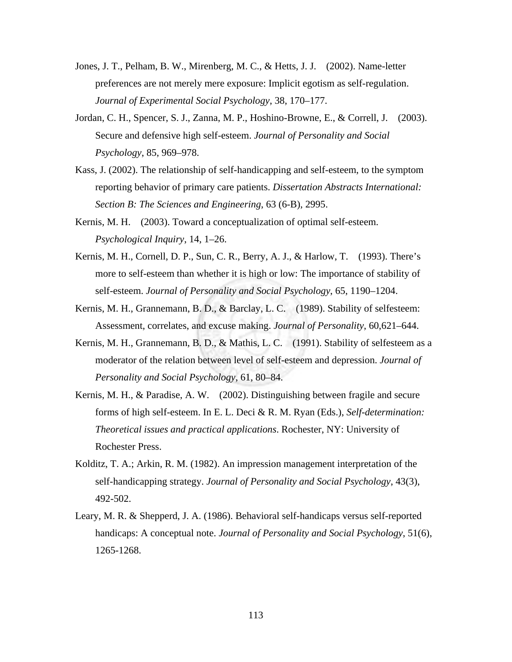- Jones, J. T., Pelham, B. W., Mirenberg, M. C., & Hetts, J. J. (2002). Name-letter preferences are not merely mere exposure: Implicit egotism as self-regulation. *Journal of Experimental Social Psychology*, 38, 170–177.
- Jordan, C. H., Spencer, S. J., Zanna, M. P., Hoshino-Browne, E., & Correll, J. (2003). Secure and defensive high self-esteem. *Journal of Personality and Social Psychology*, 85, 969–978.
- Kass, J. (2002). The relationship of self-handicapping and self-esteem, to the symptom reporting behavior of primary care patients. *Dissertation Abstracts International: Section B: The Sciences and Engineering*, 63 (6-B), 2995.
- Kernis, M. H. (2003). Toward a conceptualization of optimal self-esteem. *Psychological Inquiry*, 14, 1–26.
- Kernis, M. H., Cornell, D. P., Sun, C. R., Berry, A. J., & Harlow, T. (1993). There's more to self-esteem than whether it is high or low: The importance of stability of self-esteem. *Journal of Personality and Social Psychology*, 65, 1190–1204.
- Kernis, M. H., Grannemann, B. D., & Barclay, L. C. (1989). Stability of selfesteem: Assessment, correlates, and excuse making. *Journal of Personality*, 60,621–644.
- Kernis, M. H., Grannemann, B. D., & Mathis, L. C. (1991). Stability of selfesteem as a moderator of the relation between level of self-esteem and depression. *Journal of Personality and Social Psychology*, 61, 80–84.
- Kernis, M. H., & Paradise, A. W. (2002). Distinguishing between fragile and secure forms of high self-esteem. In E. L. Deci & R. M. Ryan (Eds.), *Self-determination: Theoretical issues and practical applications*. Rochester, NY: University of Rochester Press.
- Kolditz, T. A.; Arkin, R. M. (1982). An impression management interpretation of the self-handicapping strategy. *Journal of Personality and Social Psychology*, 43(3), 492-502.
- Leary, M. R. & Shepperd, J. A. (1986). Behavioral self-handicaps versus self-reported handicaps: A conceptual note. *Journal of Personality and Social Psychology*, 51(6), 1265-1268.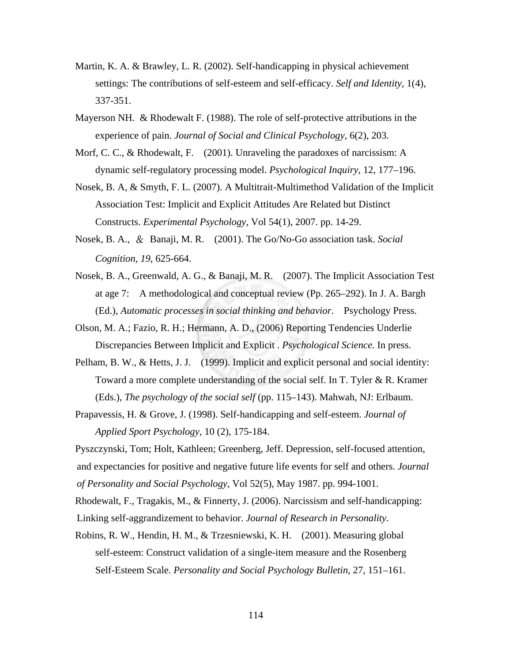- Martin, K. A. & Brawley, L. R. (2002). Self-handicapping in physical achievement settings: The contributions of self-esteem and self-efficacy. *Self and Identity*, 1(4), 337-351.
- Mayerson NH. & Rhodewalt F. (1988). The role of self-protective attributions in the experience of pain. *Journal of Social and Clinical Psychology*, 6(2), 203.
- Morf, C. C., & Rhodewalt, F.  $(2001)$ . Unraveling the paradoxes of narcissism: A dynamic self-regulatory processing model. *Psychological Inquiry*, 12, 177–196.
- Nosek, B. A, & Smyth, F. L. (2007). A Multitrait-Multimethod Validation of the Implicit Association Test: Implicit and Explicit Attitudes Are Related but Distinct Constructs. *Experimental Psychology*, Vol 54(1), 2007. pp. 14-29.
- Nosek, B. A., & Banaji, M. R. (2001). The Go/No-Go association task. *Social Cognition*, *19*, 625-664.
- Nosek, B. A., Greenwald, A. G., & Banaji, M. R. (2007). The Implicit Association Test at age 7: A methodological and conceptual review (Pp. 265–292). In J. A. Bargh (Ed.), *Automatic processes in social thinking and behavior*. Psychology Press.
- Olson, M. A.; Fazio, R. H.; Hermann, A. D., (2006) Reporting Tendencies Underlie Discrepancies Between Implicit and Explicit . *Psychological Science.* In press.
- Pelham, B. W., & Hetts, J. J. (1999). Implicit and explicit personal and social identity: Toward a more complete understanding of the social self. In T. Tyler & R. Kramer (Eds.), *The psychology of the social self* (pp. 115–143). Mahwah, NJ: Erlbaum.
- Prapavessis, H. & Grove, J. (1998). Self-handicapping and self-esteem. *Journal of Applied Sport Psychology*, 10 (2), 175-184.
- Pyszczynski, Tom; Holt, Kathleen; Greenberg, Jeff. Depression, self-focused attention, and expectancies for positive and negative future life events for self and others. *Journal of Personality and Social Psychology*, Vol 52(5), May 1987. pp. 994-1001.
- Rhodewalt, F., Tragakis, M., & Finnerty, J. (2006). Narcissism and self-handicapping:
- Linking self-aggrandizement to behavior. *Journal of Research in Personality*.
- Robins, R. W., Hendin, H. M., & Trzesniewski, K. H. (2001). Measuring global self-esteem: Construct validation of a single-item measure and the Rosenberg Self-Esteem Scale. *Personality and Social Psychology Bulletin*, 27, 151–161.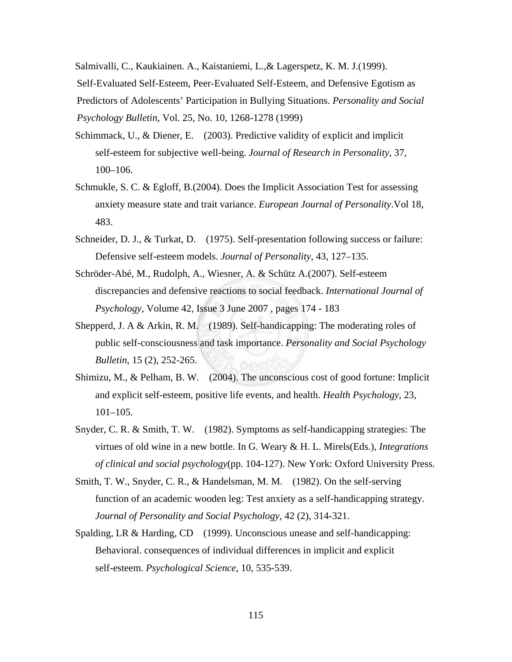Salmivalli, C., Kaukiainen. A., Kaistaniemi, L.,& Lagerspetz, K. M. J.(1999). Self-Evaluated Self-Esteem, Peer-Evaluated Self-Esteem, and Defensive Egotism as Predictors of Adolescents' Participation in Bullying Situations. *Personality and Social Psychology Bulletin,* Vol. 25, No. 10, 1268-1278 (1999)

- Schimmack, U., & Diener, E. (2003). Predictive validity of explicit and implicit self-esteem for subjective well-being. *Journal of Research in Personality*, 37, 100–106.
- Schmukle, S. C. & Egloff, B.(2004). Does the Implicit Association Test for assessing anxiety measure state and trait variance. *European Journal of Personality*.Vol 18, 483.
- Schneider, D. J., & Turkat, D. (1975). Self-presentation following success or failure: Defensive self-esteem models. *Journal of Personality*, 43, 127–135.
- Schröder-Abé, M., Rudolph, A., Wiesner, A. & Schütz A.(2007). Self-esteem discrepancies and defensive reactions to social feedback. *International Journal of Psychology*, Volume 42, Issue 3 June 2007 , pages 174 - 183
- Shepperd, J. A & Arkin, R. M. (1989). Self-handicapping: The moderating roles of public self-consciousness and task importance. *Personality and Social Psychology Bulletin*, 15 (2), 252-265.
- Shimizu, M., & Pelham, B. W. (2004). The unconscious cost of good fortune: Implicit and explicit self-esteem, positive life events, and health. *Health Psychology*, 23, 101–105.
- Snyder, C. R. & Smith, T. W. (1982). Symptoms as self-handicapping strategies: The virtues of old wine in a new bottle. In G. Weary & H. L. Mirels(Eds.), *Integrations of clinical and social psychology*(pp. 104-127). New York: Oxford University Press.
- Smith, T. W., Snyder, C. R., & Handelsman, M. M. (1982). On the self-serving function of an academic wooden leg: Test anxiety as a self-handicapping strategy. *Journal of Personality and Social Psychology*, 42 (2), 314-321.
- Spalding, LR & Harding, CD (1999). Unconscious unease and self-handicapping: Behavioral. consequences of individual differences in implicit and explicit self-esteem. *Psychological Science*, 10, 535-539.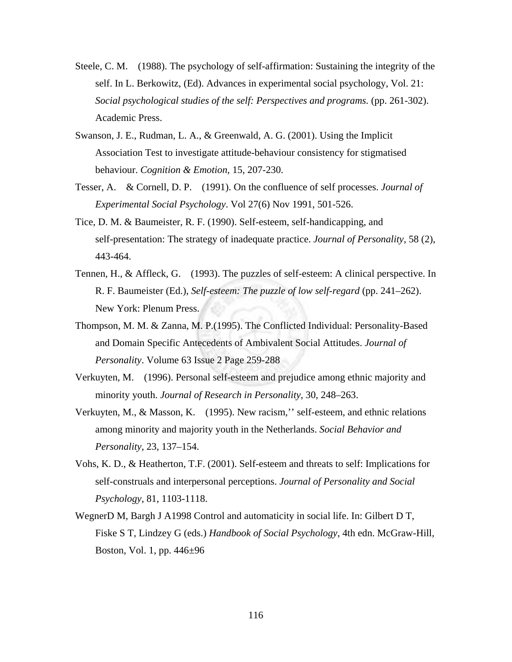- Steele, C. M. (1988). The psychology of self-affirmation: Sustaining the integrity of the self. In L. Berkowitz, (Ed). Advances in experimental social psychology, Vol. 21: *Social psychological studies of the self: Perspectives and programs.* (pp. 261-302). Academic Press.
- Swanson, J. E., Rudman, L. A., & Greenwald, A. G. (2001). Using the Implicit Association Test to investigate attitude-behaviour consistency for stigmatised behaviour. *Cognition & Emotion*, 15, 207-230.
- Tesser, A. & Cornell, D. P. (1991). On the confluence of self processes. *Journal of Experimental Social Psychology*. Vol 27(6) Nov 1991, 501-526.
- Tice, D. M. & Baumeister, R. F. (1990). Self-esteem, self-handicapping, and self-presentation: The strategy of inadequate practice. *Journal of Personality*, 58 (2), 443-464.
- Tennen, H., & Affleck, G. (1993). The puzzles of self-esteem: A clinical perspective. In R. F. Baumeister (Ed.), *Self-esteem: The puzzle of low self-regard* (pp. 241–262). New York: Plenum Press.
- Thompson, M. M. & Zanna, M. P.(1995). The Conflicted Individual: Personality-Based and Domain Specific Antecedents of Ambivalent Social Attitudes. *Journal of Personality*. Volume 63 Issue 2 Page 259-288
- Verkuyten, M. (1996). Personal self-esteem and prejudice among ethnic majority and minority youth. *Journal of Research in Personality*, 30, 248–263.
- Verkuyten, M., & Masson, K. (1995). New racism,'' self-esteem, and ethnic relations among minority and majority youth in the Netherlands. *Social Behavior and Personality*, 23, 137–154.
- Vohs, K. D., & Heatherton, T.F. (2001). Self-esteem and threats to self: Implications for self-construals and interpersonal perceptions. *Journal of Personality and Social Psychology*, 81, 1103-1118.
- WegnerD M, Bargh J A1998 Control and automaticity in social life. In: Gilbert D T, Fiske S T, Lindzey G (eds.) *Handbook of Social Psychology*, 4th edn. McGraw-Hill, Boston, Vol. 1, pp. 446±96